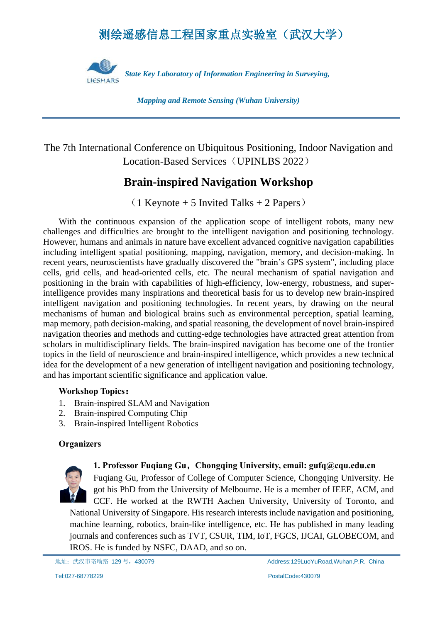# 测绘遥感信息工程国家重点实验室(武汉大学)



*Mapping and Remote Sensing (Wuhan University)*

# The 7th International Conference on Ubiquitous Positioning, Indoor Navigation and Location-Based Services (UPINLBS 2022)

# **Brain-inspired Navigation Workshop**

 $(1$  Keynote + 5 Invited Talks + 2 Papers)

With the continuous expansion of the application scope of intelligent robots, many new challenges and difficulties are brought to the intelligent navigation and positioning technology. However, humans and animals in nature have excellent advanced cognitive navigation capabilities including intelligent spatial positioning, mapping, navigation, memory, and decision-making. In recent years, neuroscientists have gradually discovered the "brain's GPS system", including place cells, grid cells, and head-oriented cells, etc. The neural mechanism of spatial navigation and positioning in the brain with capabilities of high-efficiency, low-energy, robustness, and superintelligence provides many inspirations and theoretical basis for us to develop new brain-inspired intelligent navigation and positioning technologies. In recent years, by drawing on the neural mechanisms of human and biological brains such as environmental perception, spatial learning, map memory, path decision-making, and spatial reasoning, the development of novel brain-inspired navigation theories and methods and cutting-edge technologies have attracted great attention from scholars in multidisciplinary fields. The brain-inspired navigation has become one of the frontier topics in the field of neuroscience and brain-inspired intelligence, which provides a new technical idea for the development of a new generation of intelligent navigation and positioning technology, and has important scientific significance and application value.

### **Workshop Topics:**

- 1. Brain-inspired SLAM and Navigation
- 2. Brain-inspired Computing Chip
- 3. Brain-inspired Intelligent Robotics

## **Organizers**



**1. Professor Fuqiang Gu,Chongqing University, email: gufq@cqu.edu.cn** 

Fuqiang Gu, Professor of College of Computer Science, Chongqing University. He got his PhD from the University of Melbourne. He is a member of IEEE, ACM, and CCF. He worked at the RWTH Aachen University, University of Toronto, and National University of Singapore. His research interests include navigation and positioning, machine learning, robotics, brain-like intelligence, etc. He has published in many leading journals and conferences such as TVT, CSUR, TIM, IoT, FGCS, IJCAI, GLOBECOM, and IROS. He is funded by NSFC, DAAD, and so on.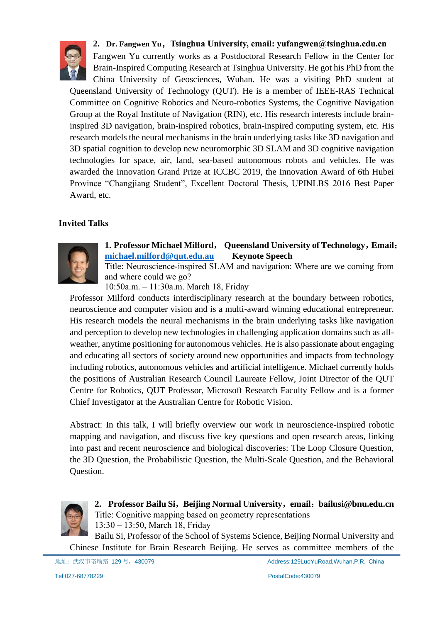

# **2. Dr. Fangwen Yu,Tsinghua University, email: yufangwen@tsinghua.edu.cn**

Fangwen Yu currently works as a Postdoctoral Research Fellow in the Center for Brain-Inspired Computing Research at Tsinghua University. He got his PhD from the

China University of Geosciences, Wuhan. He was a visiting PhD student at Queensland University of Technology (QUT). He is a member of IEEE-RAS Technical Committee on Cognitive Robotics and Neuro-robotics Systems, the Cognitive Navigation Group at the Royal Institute of Navigation (RIN), etc. His research interests include braininspired 3D navigation, brain-inspired robotics, brain-inspired computing system, etc. His research models the neural mechanisms in the brain underlying tasks like 3D navigation and 3D spatial cognition to develop new neuromorphic 3D SLAM and 3D cognitive navigation technologies for space, air, land, sea-based autonomous robots and vehicles. He was awarded the Innovation Grand Prize at ICCBC 2019, the Innovation Award of 6th Hubei Province "Changjiang Student", Excellent Doctoral Thesis, UPINLBS 2016 Best Paper Award, etc.

## **Invited Talks**



# **1. Professor Michael Milford**, **Queensland University of Technology**,**Email**: **[michael.milford@qut.edu.au](mailto:michael.milford@qut.edu.au) Keynote Speech**

Title: Neuroscience-inspired SLAM and navigation: Where are we coming from and where could we go?

10:50a.m. ‒ 11:30a.m. March 18, Friday

Professor Milford conducts interdisciplinary research at the boundary between robotics, neuroscience and computer vision and is a multi-award winning educational entrepreneur. His research models the neural mechanisms in the brain underlying tasks like navigation and perception to develop new technologies in challenging application domains such as allweather, anytime positioning for autonomous vehicles. He is also passionate about engaging and educating all sectors of society around new opportunities and impacts from technology including robotics, autonomous vehicles and artificial intelligence. Michael currently holds the positions of Australian Research Council Laureate Fellow, Joint Director of the QUT Centre for Robotics, QUT Professor, Microsoft Research Faculty Fellow and is a former Chief Investigator at the Australian Centre for Robotic Vision.

Abstract: In this talk, I will briefly overview our work in neuroscience-inspired robotic mapping and navigation, and discuss five key questions and open research areas, linking into past and recent neuroscience and biological discoveries: The Loop Closure Question, the 3D Question, the Probabilistic Question, the Multi-Scale Question, and the Behavioral Question.



**2. Professor Bailu Si**,**Beijing Normal University**,**email**:**bailusi@bnu.edu.cn** Title: Cognitive mapping based on geometry representations 13:30 ‒ 13:50, March 18, Friday

Bailu Si, Professor of the School of Systems Science, Beijing Normal University and Chinese Institute for Brain Research Beijing. He serves as committee members of the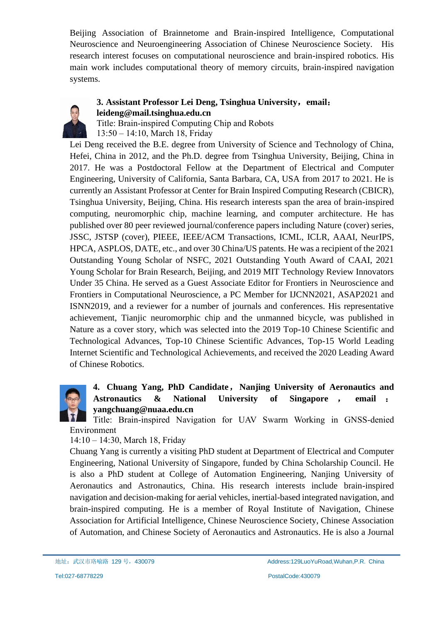Beijing Association of Brainnetome and Brain-inspired Intelligence, Computational Neuroscience and Neuroengineering Association of Chinese Neuroscience Society. His research interest focuses on computational neuroscience and brain-inspired robotics. His main work includes computational theory of memory circuits, brain-inspired navigation systems.



### **3. Assistant Professor Lei Deng, Tsinghua University**,**email**: **leideng@mail.tsinghua.edu.cn**

Title: Brain-inspired Computing Chip and Robots 13:50 ‒ 14:10, March 18, Friday

Lei Deng received the B.E. degree from University of Science and Technology of China, Hefei, China in 2012, and the Ph.D. degree from Tsinghua University, Beijing, China in 2017. He was a Postdoctoral Fellow at the Department of Electrical and Computer Engineering, University of California, Santa Barbara, CA, USA from 2017 to 2021. He is currently an Assistant Professor at Center for Brain Inspired Computing Research (CBICR), Tsinghua University, Beijing, China. His research interests span the area of brain-inspired computing, neuromorphic chip, machine learning, and computer architecture. He has published over 80 peer reviewed journal/conference papers including Nature (cover) series, JSSC, JSTSP (cover), PIEEE, IEEE/ACM Transactions, ICML, ICLR, AAAI, NeurIPS, HPCA, ASPLOS, DATE, etc., and over 30 China/US patents. He was a recipient of the 2021 Outstanding Young Scholar of NSFC, 2021 Outstanding Youth Award of CAAI, 2021 Young Scholar for Brain Research, Beijing, and 2019 MIT Technology Review Innovators Under 35 China. He served as a Guest Associate Editor for Frontiers in Neuroscience and Frontiers in Computational Neuroscience, a PC Member for IJCNN2021, ASAP2021 and ISNN2019, and a reviewer for a number of journals and conferences. His representative achievement, Tianjic neuromorphic chip and the unmanned bicycle, was published in Nature as a cover story, which was selected into the 2019 Top-10 Chinese Scientific and Technological Advances, Top-10 Chinese Scientific Advances, Top-15 World Leading Internet Scientific and Technological Achievements, and received the 2020 Leading Award of Chinese Robotics.

# **4. Chuang Yang, PhD Candidate**,**Nanjing University of Aeronautics and Astronautics & National University of Singapore** , **email** : **yangchuang@nuaa.edu.cn**

Title: Brain-inspired Navigation for UAV Swarm Working in GNSS-denied Environment

14:10 ‒ 14:30, March 18, Friday

Chuang Yang is currently a visiting PhD student at Department of Electrical and Computer Engineering, National University of Singapore, funded by China Scholarship Council. He is also a PhD student at College of Automation Engineering, Nanjing University of Aeronautics and Astronautics, China. His research interests include brain-inspired navigation and decision-making for aerial vehicles, inertial-based integrated navigation, and brain-inspired computing. He is a member of Royal Institute of Navigation, Chinese Association for Artificial Intelligence, Chinese Neuroscience Society, Chinese Association of Automation, and Chinese Society of Aeronautics and Astronautics. He is also a Journal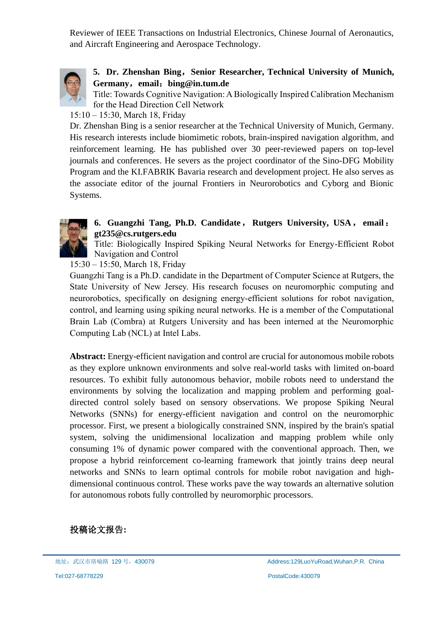Reviewer of IEEE Transactions on Industrial Electronics, Chinese Journal of Aeronautics, and Aircraft Engineering and Aerospace Technology.



# **5. Dr. Zhenshan Bing**,**Senior Researcher, Technical University of Munich, Germany**,**email**:**bing@in.tum.de**

Title: Towards Cognitive Navigation: A Biologically Inspired Calibration Mechanism for the Head Direction Cell Network

## 15:10 ‒ 15:30, March 18, Friday

Dr. Zhenshan Bing is a senior researcher at the Technical University of Munich, Germany. His research interests include biomimetic robots, brain-inspired navigation algorithm, and reinforcement learning. He has published over 30 peer-reviewed papers on top-level journals and conferences. He severs as the project coordinator of the Sino-DFG Mobility Program and the KI.FABRIK Bavaria research and development project. He also serves as the associate editor of the journal Frontiers in Neurorobotics and Cyborg and Bionic Systems.



# **6. Guangzhi Tang, Ph.D. Candidate**,**Rutgers University, USA**,**email**: **gt235@cs.rutgers.edu**

Title: Biologically Inspired Spiking Neural Networks for Energy-Efficient Robot Navigation and Control

15:30 ‒ 15:50, March 18, Friday

Guangzhi Tang is a Ph.D. candidate in the Department of Computer Science at Rutgers, the State University of New Jersey. His research focuses on neuromorphic computing and neurorobotics, specifically on designing energy-efficient solutions for robot navigation, control, and learning using spiking neural networks. He is a member of the Computational Brain Lab (Combra) at Rutgers University and has been interned at the Neuromorphic Computing Lab (NCL) at Intel Labs.

**Abstract:** Energy-efficient navigation and control are crucial for autonomous mobile robots as they explore unknown environments and solve real-world tasks with limited on-board resources. To exhibit fully autonomous behavior, mobile robots need to understand the environments by solving the localization and mapping problem and performing goaldirected control solely based on sensory observations. We propose Spiking Neural Networks (SNNs) for energy-efficient navigation and control on the neuromorphic processor. First, we present a biologically constrained SNN, inspired by the brain's spatial system, solving the unidimensional localization and mapping problem while only consuming 1% of dynamic power compared with the conventional approach. Then, we propose a hybrid reinforcement co-learning framework that jointly trains deep neural networks and SNNs to learn optimal controls for mobile robot navigation and highdimensional continuous control. These works pave the way towards an alternative solution for autonomous robots fully controlled by neuromorphic processors.

# 投稿论文报告**:**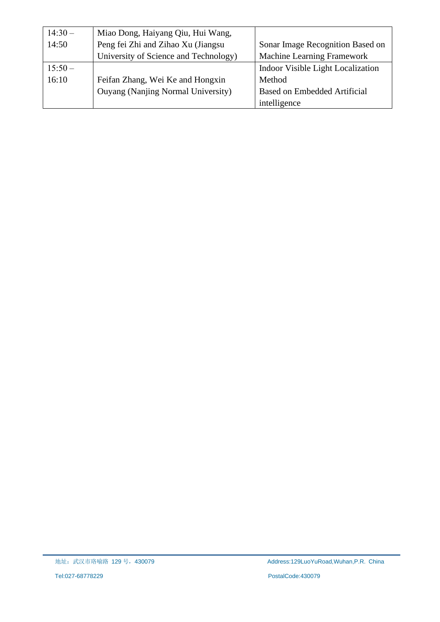| $14:30-$ | Miao Dong, Haiyang Qiu, Hui Wang,     |                                     |
|----------|---------------------------------------|-------------------------------------|
| 14:50    | Peng fei Zhi and Zihao Xu (Jiangsu    | Sonar Image Recognition Based on    |
|          | University of Science and Technology) | Machine Learning Framework          |
| $15:50-$ |                                       | Indoor Visible Light Localization   |
| 16:10    | Feifan Zhang, Wei Ke and Hongxin      | Method                              |
|          | Ouyang (Nanjing Normal University)    | <b>Based on Embedded Artificial</b> |
|          |                                       | intelligence                        |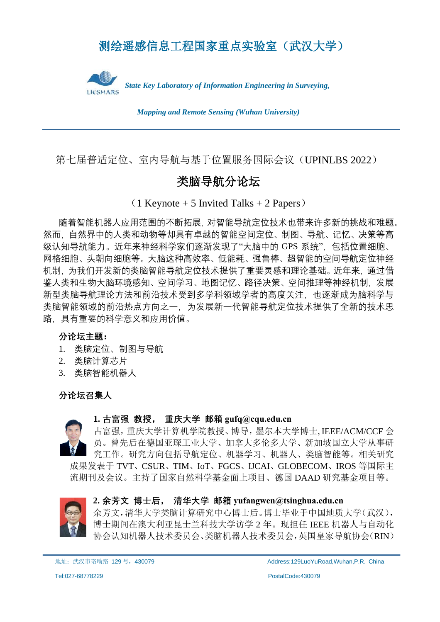# 测绘遥感信息工程国家重点实验室(武汉大学)



*Mapping and Remote Sensing (Wuhan University)*

第七届普适定位、室内导航与基于位置服务国际会议(UPINLBS 2022)

# 类脑导航分论坛

(1 Keynote + 5 Invited Talks + 2 Papers)

随着智能机器人应用范围的不断拓展,对智能导航定位技术也带来许多新的挑战和难题。 然而,自然界中的人类和动物等却具有卓越的智能空间定位、制图、导航、记忆、决策等高 级认知导航能力。近年来神经科学家们逐渐发现了"大脑中的 GPS 系统",包括位置细胞、 网格细胞、头朝向细胞等。大脑这种高效率、低能耗、强鲁棒、超智能的空间导航定位神经 机制, 为我们开发新的类脑智能导航定位技术提供了重要灵感和理论基础。近年来, 通过借 鉴人类和生物大脑环境感知、空间学习、地图记忆、路径决策、空间推理等神经机制,发展 新型类脑导航理论方法和前沿技术受到多学科领域学者的高度关注,也逐渐成为脑科学与 类脑智能领域的前沿热点方向之一,为发展新一代智能导航定位技术提供了全新的技术思 路,具有重要的科学意义和应用价值。

## **分论坛主题:**

- 1. 类脑定位、制图与导航
- 2. 类脑计算芯片
- 3. 类脑智能机器人

**分论坛召集人**



### **1. 古富强 教授, 重庆大学 邮箱 gufq@cqu.edu.cn**

古富强,重庆大学计算机学院教授、博导,墨尔本大学博士, IEEE/ACM/CCF 会 员。曾先后在德国亚琛工业大学、加拿大多伦多大学、新加坡国立大学从事研 究工作。研究方向包括导航定位、机器学习、机器人、类脑智能等。相关研究 成果发表于 TVT、CSUR、TIM、IoT、FGCS、IJCAI、GLOBECOM、IROS 等国际主 流期刊及会议。主持了国家自然科学基金面上项目、德国 DAAD 研究基金项目等。



### **2. 余芳文 博士后, 清华大学 邮箱 yufangwen@tsinghua.edu.cn**

余芳文,清华大学类脑计算研究中心博士后。博士毕业于中国地质大学(武汉), 博士期间在澳大利亚昆士兰科技大学访学 2 年。现担任 IEEE 机器人与自动化 协会认知机器人技术委员会、类脑机器人技术委员会,英国皇家导航协会(RIN)

地址:武汉市珞喻路 129号,430079 Address:129LuoYuRoad,Wuhan,P.R. China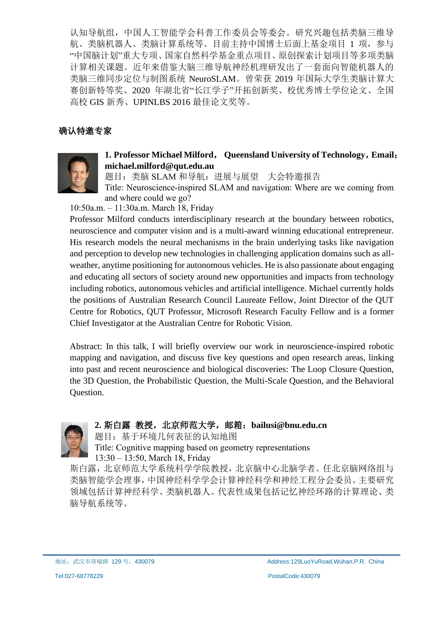认知导航组,中国人工智能学会科普工作委员会等委会。研究兴趣包括类脑三维导 航、类脑机器人、类脑计算系统等。目前主持中国博士后面上基金项目 1 项,参与 "中国脑计划"重大专项、国家自然科学基金重点项目、原创探索计划项目等多项类脑 计算相关课题。近年来借鉴大脑三维导航神经机理研发出了一套面向智能机器人的 类脑三维同步定位与制图系统 NeuroSLAM。曾荣获 2019 年国际大学生类脑计算大 赛创新特等奖、2020 年湖北省"长江学子"开拓创新奖、校优秀博士学位论文、全国 高校 GIS 新秀、UPINLBS 2016 最佳论文奖等。

# **确认特邀专家**



#### **1. Professor Michael Milford**, **Queensland University of Technology**,**Email**: **michael.milford@qut.edu.au**

题目:类脑 SLAM 和导航: 讲展与展望 大会特邀报告

Title: Neuroscience-inspired SLAM and navigation: Where are we coming from and where could we go?

10:50a.m. ‒ 11:30a.m. March 18, Friday

Professor Milford conducts interdisciplinary research at the boundary between robotics, neuroscience and computer vision and is a multi-award winning educational entrepreneur. His research models the neural mechanisms in the brain underlying tasks like navigation and perception to develop new technologies in challenging application domains such as allweather, anytime positioning for autonomous vehicles. He is also passionate about engaging and educating all sectors of society around new opportunities and impacts from technology including robotics, autonomous vehicles and artificial intelligence. Michael currently holds the positions of Australian Research Council Laureate Fellow, Joint Director of the QUT Centre for Robotics, QUT Professor, Microsoft Research Faculty Fellow and is a former Chief Investigator at the Australian Centre for Robotic Vision.

Abstract: In this talk, I will briefly overview our work in neuroscience-inspired robotic mapping and navigation, and discuss five key questions and open research areas, linking into past and recent neuroscience and biological discoveries: The Loop Closure Question, the 3D Question, the Probabilistic Question, the Multi-Scale Question, and the Behavioral Question.



## **2.** 斯白露 教授,北京师范大学,邮箱:**bailusi@bnu.edu.cn**

题目:基于环境几何表征的认知地图 Title: Cognitive mapping based on geometry representations 13:30 ‒ 13:50, March 18, Friday

斯白露,北京师范大学系统科学学院教授,北京脑中心北脑学者。任北京脑网络组与 类脑智能学会理事,中国神经科学学会计算神经科学和神经工程分会委员。主要研究 领域包括计算神经科学、类脑机器人。代表性成果包括记忆神经环路的计算理论、类 脑导航系统等。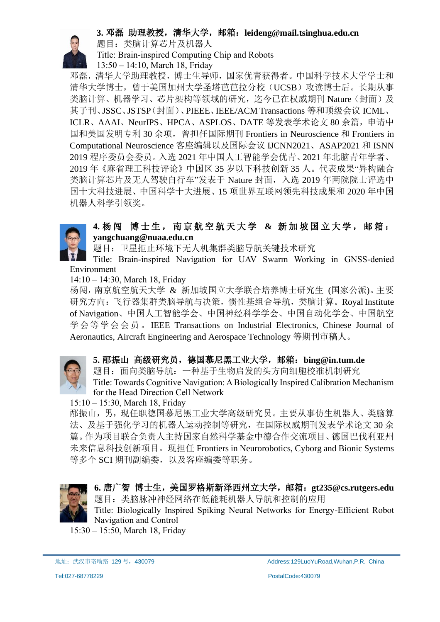## **3.** 邓磊 助理教授,清华大学,邮箱:**leideng@mail.tsinghua.edu.cn**



题目:类脑计算芯片及机器人

Title: Brain-inspired Computing Chip and Robots

13:50 ‒ 14:10, March 18, Friday

邓磊,清华大学助理教授,博士生导师,国家优青获得者。中国科学技术大学学士和 清华大学博士,曾于美国加州大学圣塔芭芭拉分校(UCSB)攻读博士后。长期从事 类脑计算、机器学习、芯片架构等领域的研究,迄今已在权威期刊 Nature(封面)及 其子刊、JSSC、JSTSP(封面)、PIEEE、IEEE/ACM Transactions 等和顶级会议 ICML、 ICLR、AAAI、NeurIPS、HPCA、ASPLOS、DATE 等发表学术论文 80 余篇, 申请中 国和美国发明专利 30 余项,曾担任国际期刊 Frontiers in Neuroscience 和 Frontiers in Computational Neuroscience 客座编辑以及国际会议 IJCNN2021、ASAP2021 和 ISNN 2019 程序委员会委员。入选 2021 年中国人工智能学会优青、2021 年北脑青年学者、 2019 年《麻省理工科技评论》中国区 35 岁以下科技创新 35 人。代表成果"异构融合 类脑计算芯片及无人驾驶自行车"发表于 Nature 封面,入选 2019 年两院院士评选中 国十大科技进展、中国科学十大进展、15 项世界互联网领先科技成果和 2020 年中国 机器人科学引领奖。

## **4.** 杨 闯 博 士 生 , 南 京 航 空 航 天 大 学 **&** 新 加 坡 国 立 大 学 , 邮 箱 : **yangchuang@nuaa.edu.cn**

题目:卫星拒止环境下无人机集群类脑导航关键技术研究

Title: Brain-inspired Navigation for UAV Swarm Working in GNSS-denied Environment

14:10 ‒ 14:30, March 18, Friday

杨闯,南京航空航天大学 & 新加坡国立大学联合培养博士研究生 (国家公派)。主要 研究方向:飞行器集群类脑导航与决策,惯性基组合导航,类脑计算。Royal Institute of Navigation、中国人工智能学会、中国神经科学学会、中国自动化学会、中国航空 学会等学会会员。IEEE Transactions on Industrial Electronics, Chinese Journal of Aeronautics, Aircraft Engineering and Aerospace Technology 等期刊审稿人。



### **5.** 邴振山 高级研究员,德国慕尼黑工业大学,邮箱:**bing@in.tum.de**

题目:面向类脑导航:一种基于生物启发的头方向细胞校准机制研究 Title: Towards Cognitive Navigation: A Biologically Inspired Calibration Mechanism for the Head Direction Cell Network

15:10 ‒ 15:30, March 18, Friday

邴振山,男,现任职德国慕尼黑工业大学高级研究员。主要从事仿生机器人、类脑算 法、及基于强化学习的机器人运动控制等研究,在国际权威期刊发表学术论文 30 余 篇。作为项目联合负责人主持国家自然科学基金中德合作交流项目、德国巴伐利亚州 未来信息科技创新项目。现担任 Frontiers in Neurorobotics, Cyborg and Bionic Systems 等多个 SCI 期刊副编委,以及客座编委等职务。



**6.** 唐广智 博士生,美国罗格斯新泽西州立大学,邮箱:**gt235@cs.rutgers.edu** 题目:类脑脉冲神经网络在低能耗机器人导航和控制的应用

Title: Biologically Inspired Spiking Neural Networks for Energy-Efficient Robot Navigation and Control

15:30 ‒ 15:50, March 18, Friday